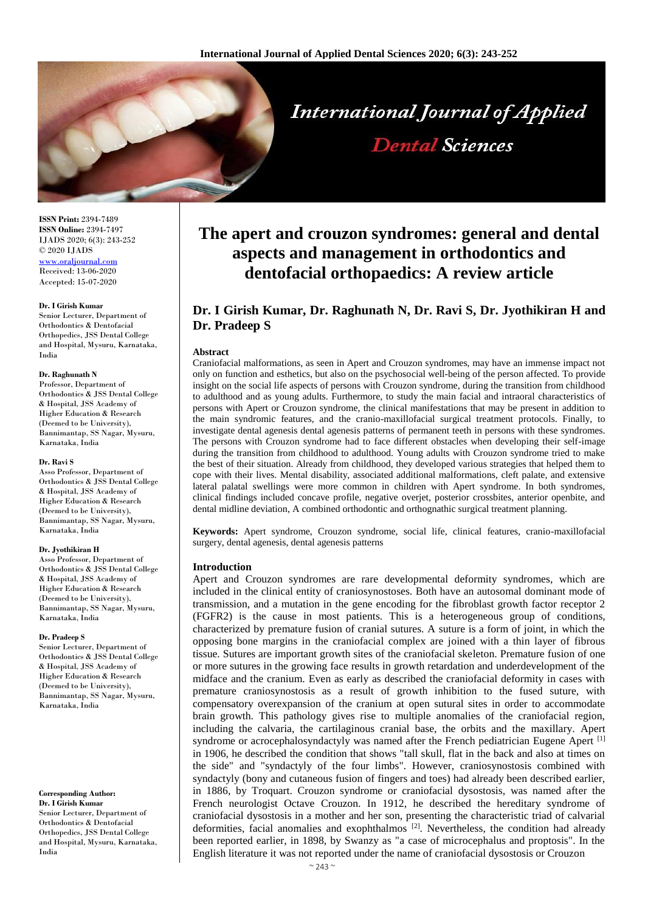

**ISSN Print:** 2394-7489 **ISSN Online:** 2394-7497 IJADS 2020; 6(3): 243-252 © 2020 IJADS [www.oraljournal.com](http://www.oraljournal.com/) Received: 13-06-2020

#### **Dr. I Girish Kumar**

Accepted: 15-07-2020

Senior Lecturer, Department of Orthodontics & Dentofacial Orthopedics, JSS Dental College and Hospital, Mysuru, Karnataka, India

#### **Dr. Raghunath N**

Professor, Department of Orthodontics & JSS Dental College & Hospital, JSS Academy of Higher Education & Research (Deemed to be University), Bannimantap, SS Nagar, Mysuru, Karnataka, India

#### **Dr. Ravi S**

Asso Professor, Department of Orthodontics & JSS Dental College & Hospital, JSS Academy of Higher Education & Research (Deemed to be University), Bannimantap, SS Nagar, Mysuru, Karnataka, India

#### **Dr. Jyothikiran H**

Asso Professor, Department of Orthodontics & JSS Dental College & Hospital, JSS Academy of Higher Education & Research (Deemed to be University), Bannimantap, SS Nagar, Mysuru, Karnataka, India

#### **Dr. Pradeep S**

Senior Lecturer, Department of Orthodontics & JSS Dental College & Hospital, JSS Academy of Higher Education & Research (Deemed to be University), Bannimantap, SS Nagar, Mysuru, Karnataka, India

**Corresponding Author:**

**Dr. I Girish Kumar**  Senior Lecturer, Department of Orthodontics & Dentofacial Orthopedics, JSS Dental College and Hospital, Mysuru, Karnataka, India

# **The apert and crouzon syndromes: general and dental aspects and management in orthodontics and dentofacial orthopaedics: A review article**

## **Dr. I Girish Kumar, Dr. Raghunath N, Dr. Ravi S, Dr. Jyothikiran H and Dr. Pradeep S**

#### **Abstract**

Craniofacial malformations, as seen in Apert and Crouzon syndromes, may have an immense impact not only on function and esthetics, but also on the psychosocial well-being of the person affected. To provide insight on the social life aspects of persons with Crouzon syndrome, during the transition from childhood to adulthood and as young adults. Furthermore, to study the main facial and intraoral characteristics of persons with Apert or Crouzon syndrome, the clinical manifestations that may be present in addition to the main syndromic features, and the cranio-maxillofacial surgical treatment protocols. Finally, to investigate dental agenesis dental agenesis patterns of permanent teeth in persons with these syndromes. The persons with Crouzon syndrome had to face different obstacles when developing their self-image during the transition from childhood to adulthood. Young adults with Crouzon syndrome tried to make the best of their situation. Already from childhood, they developed various strategies that helped them to cope with their lives. Mental disability, associated additional malformations, cleft palate, and extensive lateral palatal swellings were more common in children with Apert syndrome. In both syndromes, clinical findings included concave profile, negative overjet, posterior crossbites, anterior openbite, and dental midline deviation, A combined orthodontic and orthognathic surgical treatment planning.

**Keywords:** Apert syndrome, Crouzon syndrome, social life, clinical features, cranio-maxillofacial surgery, dental agenesis, dental agenesis patterns

#### **Introduction**

Apert and Crouzon syndromes are rare developmental deformity syndromes, which are included in the clinical entity of craniosynostoses. Both have an autosomal dominant mode of transmission, and a mutation in the gene encoding for the fibroblast growth factor receptor 2 (FGFR2) is the cause in most patients. This is a heterogeneous group of conditions, characterized by premature fusion of cranial sutures. A suture is a form of joint, in which the opposing bone margins in the craniofacial complex are joined with a thin layer of fibrous tissue. Sutures are important growth sites of the craniofacial skeleton. Premature fusion of one or more sutures in the growing face results in growth retardation and underdevelopment of the midface and the cranium. Even as early as described the craniofacial deformity in cases with premature craniosynostosis as a result of growth inhibition to the fused suture, with compensatory overexpansion of the cranium at open sutural sites in order to accommodate brain growth. This pathology gives rise to multiple anomalies of the craniofacial region, including the calvaria, the cartilaginous cranial base, the orbits and the maxillary. Apert syndrome or acrocephalosyndactyly was named after the French pediatrician Eugene Apert <sup>[1]</sup> in 1906, he described the condition that shows "tall skull, flat in the back and also at times on the side" and "syndactyly of the four limbs". However, craniosynostosis combined with syndactyly (bony and cutaneous fusion of fingers and toes) had already been described earlier, in 1886, by Troquart. Crouzon syndrome or craniofacial dysostosis, was named after the French neurologist Octave Crouzon. In 1912, he described the hereditary syndrome of craniofacial dysostosis in a mother and her son, presenting the characteristic triad of calvarial deformities, facial anomalies and exophthalmos <sup>[2]</sup>. Nevertheless, the condition had already been reported earlier, in 1898, by Swanzy as "a case of microcephalus and proptosis". In the English literature it was not reported under the name of craniofacial dysostosis or Crouzon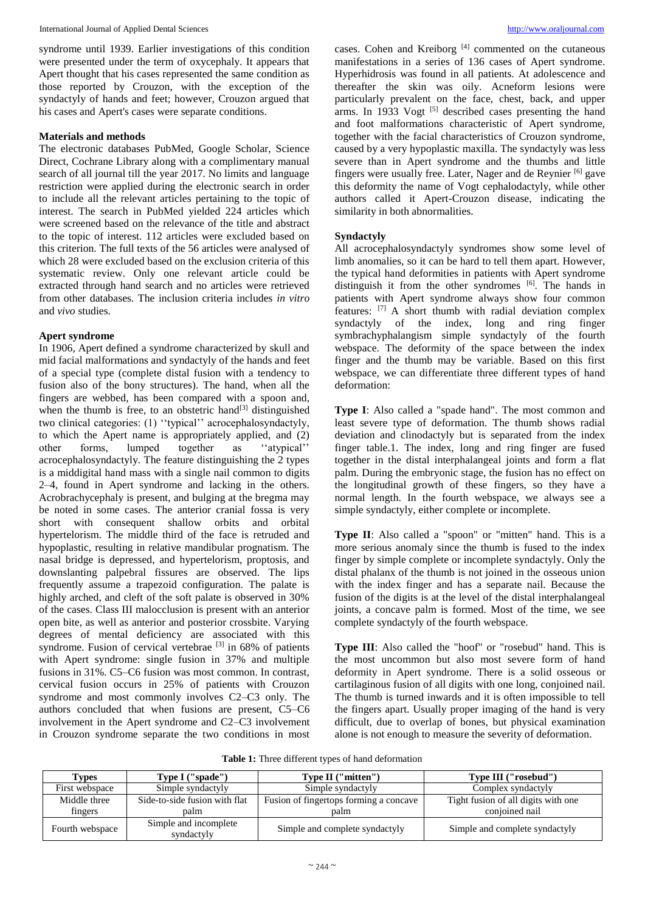syndrome until 1939. Earlier investigations of this condition were presented under the term of oxycephaly. It appears that Apert thought that his cases represented the same condition as those reported by Crouzon, with the exception of the syndactyly of hands and feet; however, Crouzon argued that his cases and Apert's cases were separate conditions.

### **Materials and methods**

The electronic databases PubMed, Google Scholar, Science Direct, Cochrane Library along with a complimentary manual search of all journal till the year 2017. No limits and language restriction were applied during the electronic search in order to include all the relevant articles pertaining to the topic of interest. The search in PubMed yielded 224 articles which were screened based on the relevance of the title and abstract to the topic of interest. 112 articles were excluded based on this criterion. The full texts of the 56 articles were analysed of which 28 were excluded based on the exclusion criteria of this systematic review. Only one relevant article could be extracted through hand search and no articles were retrieved from other databases. The inclusion criteria includes *in vitro* and *vivo* studies.

## **Apert syndrome**

In 1906, Apert defined a syndrome characterized by skull and mid facial malformations and syndactyly of the hands and feet of a special type (complete distal fusion with a tendency to fusion also of the bony structures). The hand, when all the fingers are webbed, has been compared with a spoon and, when the thumb is free, to an obstetric hand $[3]$  distinguished two clinical categories: (1) ''typical'' acrocephalosyndactyly, to which the Apert name is appropriately applied, and (2) other forms, lumped together as ''atypical'' acrocephalosyndactyly. The feature distinguishing the 2 types is a middigital hand mass with a single nail common to digits 2–4, found in Apert syndrome and lacking in the others. Acrobrachycephaly is present, and bulging at the bregma may be noted in some cases. The anterior cranial fossa is very short with consequent shallow orbits and orbital hypertelorism. The middle third of the face is retruded and hypoplastic, resulting in relative mandibular prognatism. The nasal bridge is depressed, and hypertelorism, proptosis, and downslanting palpebral fissures are observed. The lips frequently assume a trapezoid configuration. The palate is highly arched, and cleft of the soft palate is observed in 30% of the cases. Class III malocclusion is present with an anterior open bite, as well as anterior and posterior crossbite. Varying degrees of mental deficiency are associated with this syndrome. Fusion of cervical vertebrae <sup>[3]</sup> in 68% of patients with Apert syndrome: single fusion in 37% and multiple fusions in 31%. C5–C6 fusion was most common. In contrast, cervical fusion occurs in 25% of patients with Crouzon syndrome and most commonly involves C2–C3 only. The authors concluded that when fusions are present, C5–C6 involvement in the Apert syndrome and C2–C3 involvement in Crouzon syndrome separate the two conditions in most cases. Cohen and Kreiborg [4] commented on the cutaneous manifestations in a series of 136 cases of Apert syndrome. Hyperhidrosis was found in all patients. At adolescence and thereafter the skin was oily. Acneform lesions were particularly prevalent on the face, chest, back, and upper arms. In 1933 Vogt <sup>[5]</sup> described cases presenting the hand and foot malformations characteristic of Apert syndrome, together with the facial characteristics of Crouzon syndrome, caused by a very hypoplastic maxilla. The syndactyly was less severe than in Apert syndrome and the thumbs and little fingers were usually free. Later, Nager and de Reynier [6] gave this deformity the name of Vogt cephalodactyly, while other authors called it Apert-Crouzon disease, indicating the similarity in both abnormalities.

## **Syndactyly**

All acrocephalosyndactyly syndromes show some level of limb anomalies, so it can be hard to tell them apart. However, the typical hand deformities in patients with Apert syndrome distinguish it from the other syndromes  $[6]$ . The hands in patients with Apert syndrome always show four common features: [7] A short thumb with radial deviation complex syndactyly of the index, long and ring finger symbrachyphalangism simple syndactyly of the fourth webspace. The deformity of the space between the index finger and the thumb may be variable. Based on this first webspace, we can differentiate three different types of hand deformation:

**Type I**: Also called a "spade hand". The most common and least severe type of deformation. The thumb shows radial deviation and clinodactyly but is separated from the index finger table.1. The index, long and ring finger are fused together in the distal interphalangeal joints and form a flat palm. During the embryonic stage, the fusion has no effect on the longitudinal growth of these fingers, so they have a normal length. In the fourth webspace, we always see a simple syndactyly, either complete or incomplete.

**Type II**: Also called a "spoon" or "mitten" hand. This is a more serious anomaly since the thumb is fused to the index finger by simple complete or incomplete syndactyly. Only the distal phalanx of the thumb is not joined in the osseous union with the index finger and has a separate nail. Because the fusion of the digits is at the level of the distal interphalangeal joints, a concave palm is formed. Most of the time, we see complete syndactyly of the fourth webspace.

**Type III**: Also called the "hoof" or "rosebud" hand. This is the most uncommon but also most severe form of hand deformity in Apert syndrome. There is a solid osseous or cartilaginous fusion of all digits with one long, conjoined nail. The thumb is turned inwards and it is often impossible to tell the fingers apart. Usually proper imaging of the hand is very difficult, due to overlap of bones, but physical examination alone is not enough to measure the severity of deformation.

**Table 1:** Three different types of hand deformation

| Types           | Type I ("spade")                    | Type II ("mitten")                     | Type III ("rosebud")                |
|-----------------|-------------------------------------|----------------------------------------|-------------------------------------|
| First webspace  | Simple syndactyly                   | Simple syndactyly                      | Complex syndactyly                  |
| Middle three    | Side-to-side fusion with flat       | Fusion of fingertops forming a concave | Tight fusion of all digits with one |
| fingers         | palm                                | palm                                   | conjoined nail                      |
| Fourth webspace | Simple and incomplete<br>syndactyly | Simple and complete syndactyly         | Simple and complete syndactyly      |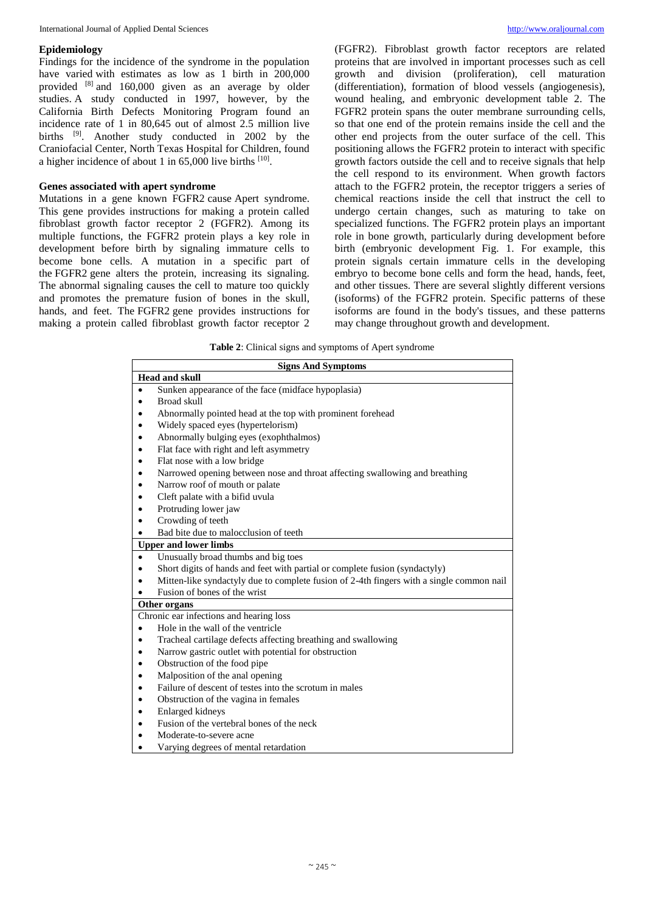### **Epidemiology**

Findings for the incidence of the syndrome in the population have varied with estimates as low as 1 birth in 200,000 provided [8] and 160,000 given as an average by older studies. A study conducted in 1997, however, by the California Birth Defects Monitoring Program found an incidence rate of 1 in 80,645 out of almost 2.5 million live births <sup>[9]</sup>. Another study conducted in 2002 by the Craniofacial Center, North Texas Hospital for Children, found a higher incidence of about 1 in 65,000 live births [10].

## **Genes associated with apert syndrome**

Mutations in a gene known FGFR2 cause Apert syndrome. This gene provides instructions for making a protein called fibroblast growth factor receptor 2 (FGFR2). Among its multiple functions, the FGFR2 protein plays a key role in development before birth by signaling immature cells to become bone cells. A mutation in a specific part of the FGFR2 gene alters the protein, increasing its signaling. The abnormal signaling causes the cell to mature too quickly and promotes the premature fusion of bones in the skull, hands, and feet. The FGFR2 gene provides instructions for making a protein called fibroblast growth factor receptor 2

(FGFR2). Fibroblast growth factor receptors are related proteins that are involved in important processes such as cell growth and division (proliferation), cell maturation (differentiation), formation of blood vessels (angiogenesis), wound healing, and embryonic development table 2. The FGFR2 protein spans the outer membrane surrounding cells, so that one end of the protein remains inside the cell and the other end projects from the outer surface of the cell. This positioning allows the FGFR2 protein to interact with specific growth factors outside the cell and to receive signals that help the cell respond to its environment. When growth factors attach to the FGFR2 protein, the receptor triggers a series of chemical reactions inside the cell that instruct the cell to undergo certain changes, such as maturing to take on specialized functions. The FGFR2 protein plays an important role in bone growth, particularly during development before birth (embryonic development Fig. 1. For example, this protein signals certain immature cells in the developing embryo to become bone cells and form the head, hands, feet, and other tissues. There are several slightly different versions (isoforms) of the FGFR2 protein. Specific patterns of these isoforms are found in the body's tissues, and these patterns may change throughout growth and development.

**Table 2**: Clinical signs and symptoms of Apert syndrome

| <b>Signs And Symptoms</b>                                                                |  |  |  |
|------------------------------------------------------------------------------------------|--|--|--|
| <b>Head and skull</b>                                                                    |  |  |  |
| Sunken appearance of the face (midface hypoplasia)<br>$\bullet$                          |  |  |  |
| Broad skull                                                                              |  |  |  |
| Abnormally pointed head at the top with prominent forehead<br>$\bullet$                  |  |  |  |
| Widely spaced eyes (hypertelorism)                                                       |  |  |  |
| Abnormally bulging eyes (exophthalmos)                                                   |  |  |  |
| Flat face with right and left asymmetry<br>$\bullet$                                     |  |  |  |
| Flat nose with a low bridge<br>$\bullet$                                                 |  |  |  |
| Narrowed opening between nose and throat affecting swallowing and breathing<br>$\bullet$ |  |  |  |
| Narrow roof of mouth or palate                                                           |  |  |  |
| Cleft palate with a bifid uvula                                                          |  |  |  |
| Protruding lower jaw<br>٠                                                                |  |  |  |
| Crowding of teeth                                                                        |  |  |  |
| Bad bite due to malocclusion of teeth                                                    |  |  |  |
| <b>Upper and lower limbs</b>                                                             |  |  |  |
| Unusually broad thumbs and big toes<br>$\bullet$                                         |  |  |  |
| Short digits of hands and feet with partial or complete fusion (syndactyly)              |  |  |  |
| Mitten-like syndactyly due to complete fusion of 2-4th fingers with a single common nail |  |  |  |
| Fusion of bones of the wrist                                                             |  |  |  |
| Other organs                                                                             |  |  |  |
| Chronic ear infections and hearing loss                                                  |  |  |  |
| Hole in the wall of the ventricle                                                        |  |  |  |
| Tracheal cartilage defects affecting breathing and swallowing<br>$\bullet$               |  |  |  |
| Narrow gastric outlet with potential for obstruction                                     |  |  |  |
| Obstruction of the food pipe                                                             |  |  |  |
| Malposition of the anal opening<br>٠                                                     |  |  |  |
| Failure of descent of testes into the scrotum in males<br>$\bullet$                      |  |  |  |
| Obstruction of the vagina in females<br>$\bullet$                                        |  |  |  |
| Enlarged kidneys<br>٠                                                                    |  |  |  |
| Fusion of the vertebral bones of the neck                                                |  |  |  |
| Moderate-to-severe acne                                                                  |  |  |  |
| Varying degrees of mental retardation                                                    |  |  |  |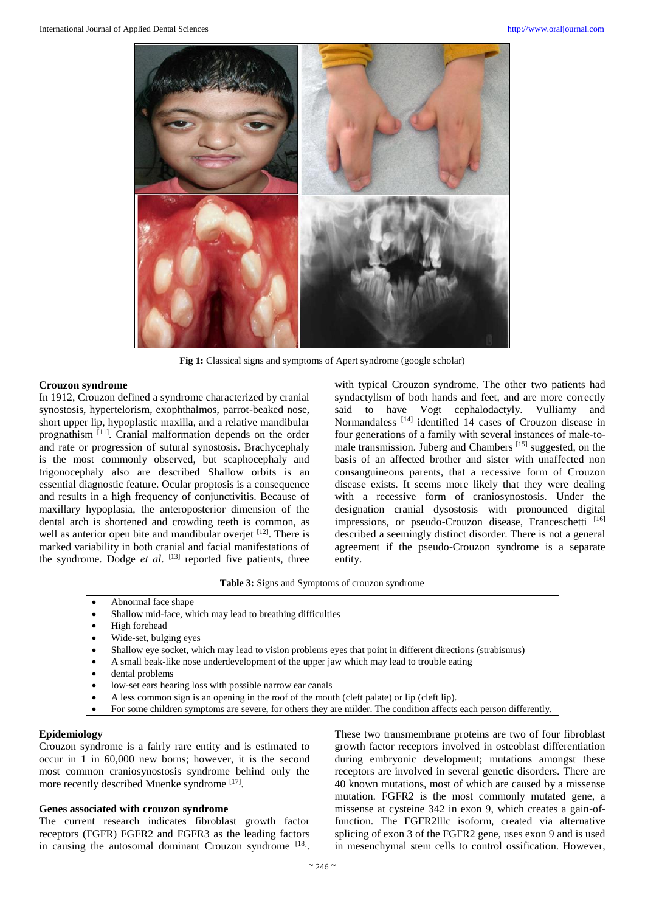

Fig 1: Classical signs and symptoms of Apert syndrome (google scholar)

#### **Crouzon syndrome**

In 1912, Crouzon defined a syndrome characterized by cranial synostosis, hypertelorism, exophthalmos, parrot-beaked nose, short upper lip, hypoplastic maxilla, and a relative mandibular prognathism<sup>[11]</sup>. Cranial malformation depends on the order and rate or progression of sutural synostosis. Brachycephaly is the most commonly observed, but scaphocephaly and trigonocephaly also are described Shallow orbits is an essential diagnostic feature. Ocular proptosis is a consequence and results in a high frequency of conjunctivitis. Because of maxillary hypoplasia, the anteroposterior dimension of the dental arch is shortened and crowding teeth is common, as well as anterior open bite and mandibular overjet  $[12]$ . There is marked variability in both cranial and facial manifestations of the syndrome. Dodge *et al*. [13] reported five patients, three with typical Crouzon syndrome. The other two patients had syndactylism of both hands and feet, and are more correctly said to have Vogt cephalodactyly. Vulliamy and Normandaless <sup>[14]</sup> identified 14 cases of Crouzon disease in four generations of a family with several instances of male-tomale transmission. Juberg and Chambers <sup>[15]</sup> suggested, on the basis of an affected brother and sister with unaffected non consanguineous parents, that a recessive form of Crouzon disease exists. It seems more likely that they were dealing with a recessive form of craniosynostosis. Under the designation cranial dysostosis with pronounced digital impressions, or pseudo-Crouzon disease, Franceschetti [16] described a seemingly distinct disorder. There is not a general agreement if the pseudo-Crouzon syndrome is a separate entity.

**Table 3:** Signs and Symptoms of crouzon syndrome

- Abnormal face shape
- Shallow mid-face, which may lead to breathing difficulties
- High forehead
- Wide-set, bulging eyes
- Shallow eye socket, which may lead to vision problems eyes that point in different directions (strabismus)
- A small beak-like nose underdevelopment of the upper jaw which may lead to trouble eating
- dental problems
- low-set ears hearing loss with possible narrow ear canals
- A less common sign is an opening in the roof of the mouth (cleft palate) or lip (cleft lip).
- For some children symptoms are severe, for others they are milder. The condition affects each person differently.

#### **Epidemiology**

Crouzon syndrome is a fairly rare entity and is estimated to occur in 1 in 60,000 new borns; however, it is the second most common craniosynostosis syndrome behind only the more recently described Muenke syndrome [17].

#### **Genes associated with crouzon syndrome**

The current research indicates fibroblast growth factor receptors (FGFR) FGFR2 and FGFR3 as the leading factors in causing the autosomal dominant Crouzon syndrome [18].

These two transmembrane proteins are two of four fibroblast growth factor receptors involved in osteoblast differentiation during embryonic development; mutations amongst these receptors are involved in several genetic disorders. There are 40 known mutations, most of which are caused by a missense mutation. FGFR2 is the most commonly mutated gene, a missense at cysteine 342 in exon 9, which creates a gain-offunction. The FGFR2lllc isoform, created via alternative splicing of exon 3 of the FGFR2 gene, uses exon 9 and is used in mesenchymal stem cells to control ossification. However,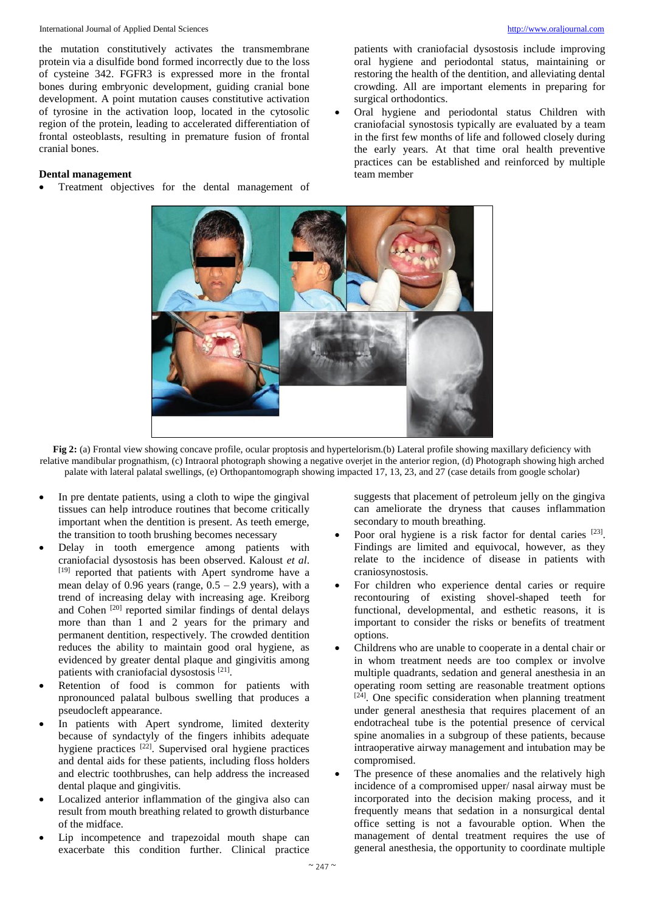International Journal of Applied Dental Sciences [http://www.oraljournal.com](http://www.oraljournal.com/)

the mutation constitutively activates the transmembrane protein via a disulfide bond formed incorrectly due to the loss of cysteine 342. FGFR3 is expressed more in the frontal bones during embryonic development, guiding cranial bone development. A point mutation causes constitutive activation of tyrosine in the activation loop, located in the cytosolic region of the protein, leading to accelerated differentiation of frontal osteoblasts, resulting in premature fusion of frontal cranial bones.

### **Dental management**

Treatment objectives for the dental management of

patients with craniofacial dysostosis include improving oral hygiene and periodontal status, maintaining or restoring the health of the dentition, and alleviating dental crowding. All are important elements in preparing for surgical orthodontics.

 Oral hygiene and periodontal status Children with craniofacial synostosis typically are evaluated by a team in the first few months of life and followed closely during the early years. At that time oral health preventive practices can be established and reinforced by multiple team member



**Fig 2:** (a) Frontal view showing concave profile, ocular proptosis and hypertelorism.(b) Lateral profile showing maxillary deficiency with relative mandibular prognathism, (c) Intraoral photograph showing a negative overjet in the anterior region, (d) Photograph showing high arched palate with lateral palatal swellings, (e) Orthopantomograph showing impacted 17, 13, 23, and 27 (case details from google scholar)

- In pre dentate patients, using a cloth to wipe the gingival tissues can help introduce routines that become critically important when the dentition is present. As teeth emerge, the transition to tooth brushing becomes necessary
- Delay in tooth emergence among patients with craniofacial dysostosis has been observed. Kaloust *et al*. [19] reported that patients with Apert syndrome have a mean delay of 0.96 years (range,  $0.5 - 2.9$  years), with a trend of increasing delay with increasing age. Kreiborg and Cohen <sup>[20]</sup> reported similar findings of dental delays more than than 1 and 2 years for the primary and permanent dentition, respectively. The crowded dentition reduces the ability to maintain good oral hygiene, as evidenced by greater dental plaque and gingivitis among patients with craniofacial dysostosis<sup>[21]</sup>.
- Retention of food is common for patients with npronounced palatal bulbous swelling that produces a pseudocleft appearance.
- In patients with Apert syndrome, limited dexterity because of syndactyly of the fingers inhibits adequate hygiene practices [22]. Supervised oral hygiene practices and dental aids for these patients, including floss holders and electric toothbrushes, can help address the increased dental plaque and gingivitis.
- Localized anterior inflammation of the gingiva also can result from mouth breathing related to growth disturbance of the midface.
- Lip incompetence and trapezoidal mouth shape can exacerbate this condition further. Clinical practice

suggests that placement of petroleum jelly on the gingiva can ameliorate the dryness that causes inflammation secondary to mouth breathing.

- Poor oral hygiene is a risk factor for dental caries  $[23]$ . Findings are limited and equivocal, however, as they relate to the incidence of disease in patients with craniosynostosis.
- For children who experience dental caries or require recontouring of existing shovel-shaped teeth for functional, developmental, and esthetic reasons, it is important to consider the risks or benefits of treatment options.
- Childrens who are unable to cooperate in a dental chair or in whom treatment needs are too complex or involve multiple quadrants, sedation and general anesthesia in an operating room setting are reasonable treatment options [24]. One specific consideration when planning treatment under general anesthesia that requires placement of an endotracheal tube is the potential presence of cervical spine anomalies in a subgroup of these patients, because intraoperative airway management and intubation may be compromised.
- The presence of these anomalies and the relatively high incidence of a compromised upper/ nasal airway must be incorporated into the decision making process, and it frequently means that sedation in a nonsurgical dental office setting is not a favourable option. When the management of dental treatment requires the use of general anesthesia, the opportunity to coordinate multiple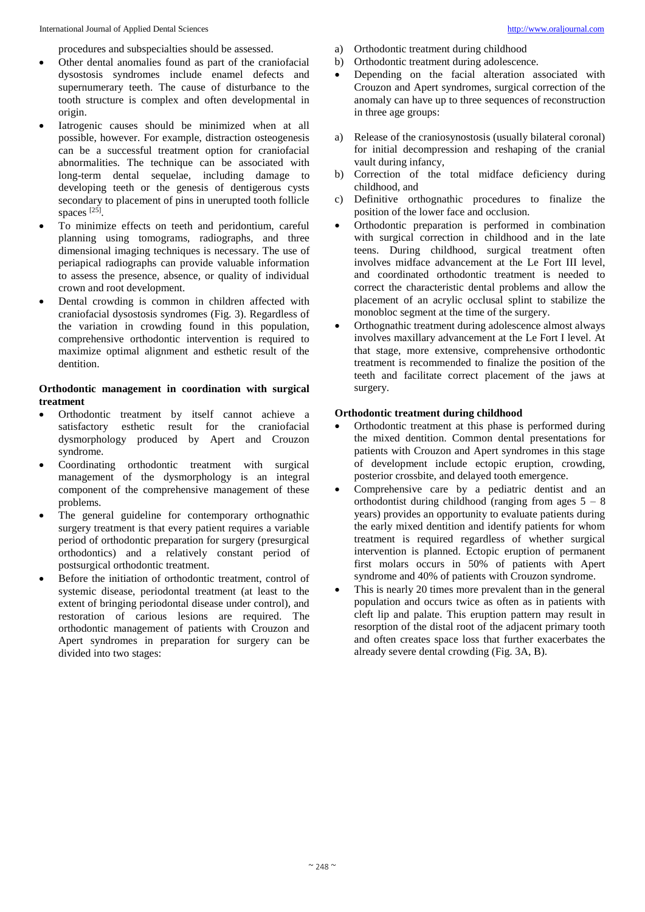procedures and subspecialties should be assessed.

- Other dental anomalies found as part of the craniofacial dysostosis syndromes include enamel defects and supernumerary teeth. The cause of disturbance to the tooth structure is complex and often developmental in origin.
- Iatrogenic causes should be minimized when at all possible, however. For example, distraction osteogenesis can be a successful treatment option for craniofacial abnormalities. The technique can be associated with long-term dental sequelae, including damage to developing teeth or the genesis of dentigerous cysts secondary to placement of pins in unerupted tooth follicle spaces<sup>[25]</sup>.
- To minimize effects on teeth and peridontium, careful planning using tomograms, radiographs, and three dimensional imaging techniques is necessary. The use of periapical radiographs can provide valuable information to assess the presence, absence, or quality of individual crown and root development.
- Dental crowding is common in children affected with craniofacial dysostosis syndromes (Fig. 3). Regardless of the variation in crowding found in this population, comprehensive orthodontic intervention is required to maximize optimal alignment and esthetic result of the dentition.

## **Orthodontic management in coordination with surgical treatment**

- Orthodontic treatment by itself cannot achieve a satisfactory esthetic result for the craniofacial dysmorphology produced by Apert and Crouzon syndrome.
- Coordinating orthodontic treatment with surgical management of the dysmorphology is an integral component of the comprehensive management of these problems.
- The general guideline for contemporary orthognathic surgery treatment is that every patient requires a variable period of orthodontic preparation for surgery (presurgical orthodontics) and a relatively constant period of postsurgical orthodontic treatment.
- Before the initiation of orthodontic treatment, control of systemic disease, periodontal treatment (at least to the extent of bringing periodontal disease under control), and restoration of carious lesions are required. The orthodontic management of patients with Crouzon and Apert syndromes in preparation for surgery can be divided into two stages:
- a) Orthodontic treatment during childhood
- b) Orthodontic treatment during adolescence.
- Depending on the facial alteration associated with Crouzon and Apert syndromes, surgical correction of the anomaly can have up to three sequences of reconstruction in three age groups:
- a) Release of the craniosynostosis (usually bilateral coronal) for initial decompression and reshaping of the cranial vault during infancy,
- b) Correction of the total midface deficiency during childhood, and
- c) Definitive orthognathic procedures to finalize the position of the lower face and occlusion.
- Orthodontic preparation is performed in combination with surgical correction in childhood and in the late teens. During childhood, surgical treatment often involves midface advancement at the Le Fort III level, and coordinated orthodontic treatment is needed to correct the characteristic dental problems and allow the placement of an acrylic occlusal splint to stabilize the monobloc segment at the time of the surgery.
- Orthognathic treatment during adolescence almost always involves maxillary advancement at the Le Fort I level. At that stage, more extensive, comprehensive orthodontic treatment is recommended to finalize the position of the teeth and facilitate correct placement of the jaws at surgery.

### **Orthodontic treatment during childhood**

- Orthodontic treatment at this phase is performed during the mixed dentition. Common dental presentations for patients with Crouzon and Apert syndromes in this stage of development include ectopic eruption, crowding, posterior crossbite, and delayed tooth emergence.
- Comprehensive care by a pediatric dentist and an orthodontist during childhood (ranging from ages  $5 - 8$ ) years) provides an opportunity to evaluate patients during the early mixed dentition and identify patients for whom treatment is required regardless of whether surgical intervention is planned. Ectopic eruption of permanent first molars occurs in 50% of patients with Apert syndrome and 40% of patients with Crouzon syndrome.
- This is nearly 20 times more prevalent than in the general population and occurs twice as often as in patients with cleft lip and palate. This eruption pattern may result in resorption of the distal root of the adjacent primary tooth and often creates space loss that further exacerbates the already severe dental crowding (Fig. 3A, B).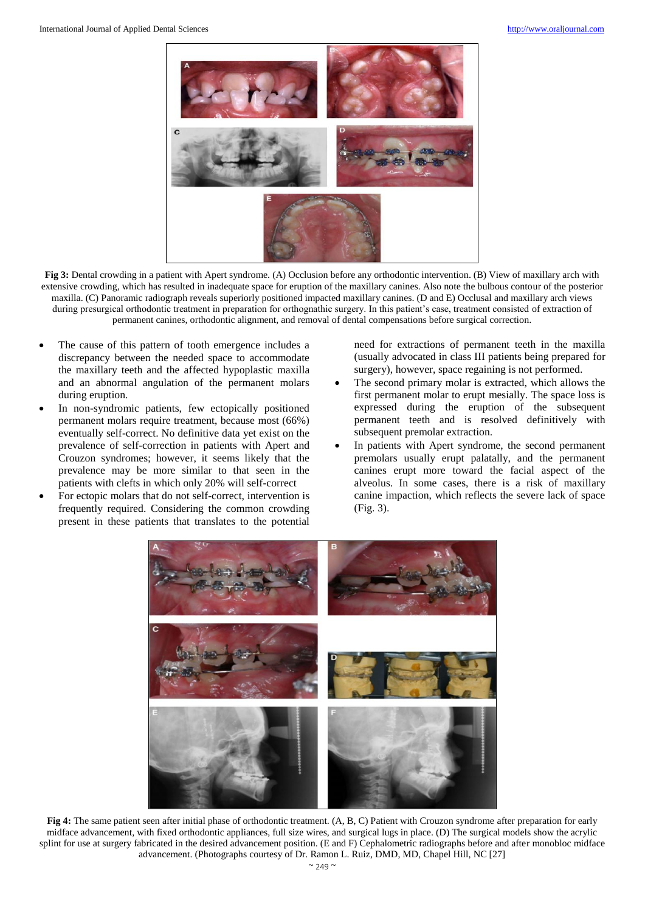

**Fig 3:** Dental crowding in a patient with Apert syndrome. (A) Occlusion before any orthodontic intervention. (B) View of maxillary arch with extensive crowding, which has resulted in inadequate space for eruption of the maxillary canines. Also note the bulbous contour of the posterior maxilla. (C) Panoramic radiograph reveals superiorly positioned impacted maxillary canines. (D and E) Occlusal and maxillary arch views during presurgical orthodontic treatment in preparation for orthognathic surgery. In this patient's case, treatment consisted of extraction of permanent canines, orthodontic alignment, and removal of dental compensations before surgical correction.

- The cause of this pattern of tooth emergence includes a discrepancy between the needed space to accommodate the maxillary teeth and the affected hypoplastic maxilla and an abnormal angulation of the permanent molars during eruption.
- In non-syndromic patients, few ectopically positioned permanent molars require treatment, because most (66%) eventually self-correct. No definitive data yet exist on the prevalence of self-correction in patients with Apert and Crouzon syndromes; however, it seems likely that the prevalence may be more similar to that seen in the patients with clefts in which only 20% will self-correct
- For ectopic molars that do not self-correct, intervention is frequently required. Considering the common crowding present in these patients that translates to the potential

need for extractions of permanent teeth in the maxilla (usually advocated in class III patients being prepared for surgery), however, space regaining is not performed.

- The second primary molar is extracted, which allows the first permanent molar to erupt mesially. The space loss is expressed during the eruption of the subsequent permanent teeth and is resolved definitively with subsequent premolar extraction.
- In patients with Apert syndrome, the second permanent premolars usually erupt palatally, and the permanent canines erupt more toward the facial aspect of the alveolus. In some cases, there is a risk of maxillary canine impaction, which reflects the severe lack of space (Fig. 3).



**Fig 4:** The same patient seen after initial phase of orthodontic treatment. (A, B, C) Patient with Crouzon syndrome after preparation for early midface advancement, with fixed orthodontic appliances, full size wires, and surgical lugs in place. (D) The surgical models show the acrylic splint for use at surgery fabricated in the desired advancement position. (E and F) Cephalometric radiographs before and after monobloc midface advancement. (Photographs courtesy of Dr. Ramon L. Ruiz, DMD, MD, Chapel Hill, NC [27]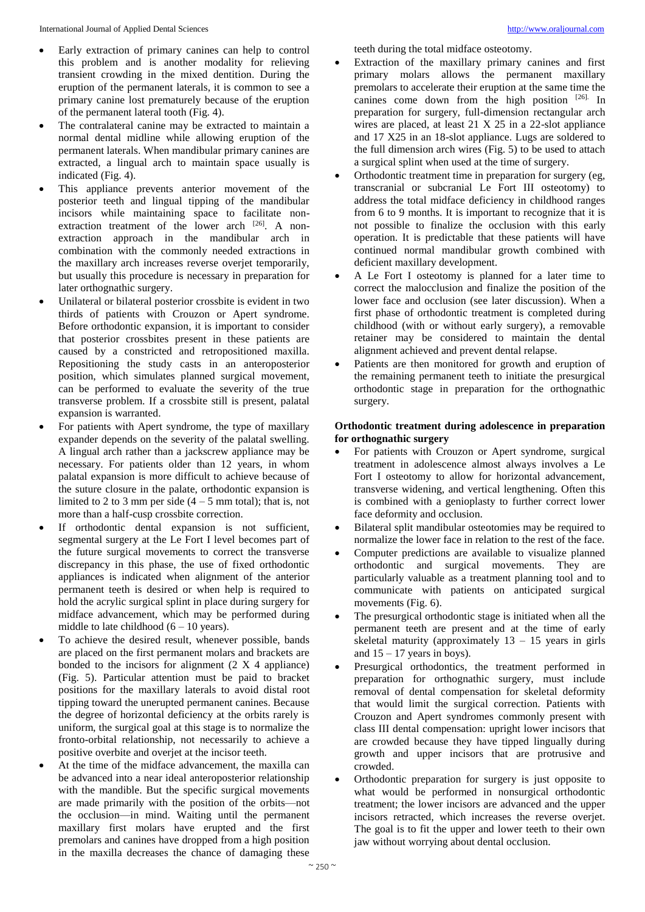- Early extraction of primary canines can help to control this problem and is another modality for relieving transient crowding in the mixed dentition. During the eruption of the permanent laterals, it is common to see a primary canine lost prematurely because of the eruption of the permanent lateral tooth (Fig. 4).
- The contralateral canine may be extracted to maintain a normal dental midline while allowing eruption of the permanent laterals. When mandibular primary canines are extracted, a lingual arch to maintain space usually is indicated (Fig. 4).
- This appliance prevents anterior movement of the posterior teeth and lingual tipping of the mandibular incisors while maintaining space to facilitate nonextraction treatment of the lower arch <sup>[26]</sup>. A nonextraction approach in the mandibular arch in combination with the commonly needed extractions in the maxillary arch increases reverse overjet temporarily, but usually this procedure is necessary in preparation for later orthognathic surgery.
- Unilateral or bilateral posterior crossbite is evident in two thirds of patients with Crouzon or Apert syndrome. Before orthodontic expansion, it is important to consider that posterior crossbites present in these patients are caused by a constricted and retropositioned maxilla. Repositioning the study casts in an anteroposterior position, which simulates planned surgical movement, can be performed to evaluate the severity of the true transverse problem. If a crossbite still is present, palatal expansion is warranted.
- For patients with Apert syndrome, the type of maxillary expander depends on the severity of the palatal swelling. A lingual arch rather than a jackscrew appliance may be necessary. For patients older than 12 years, in whom palatal expansion is more difficult to achieve because of the suture closure in the palate, orthodontic expansion is limited to 2 to 3 mm per side  $(4 - 5$  mm total); that is, not more than a half-cusp crossbite correction.
- If orthodontic dental expansion is not sufficient, segmental surgery at the Le Fort I level becomes part of the future surgical movements to correct the transverse discrepancy in this phase, the use of fixed orthodontic appliances is indicated when alignment of the anterior permanent teeth is desired or when help is required to hold the acrylic surgical splint in place during surgery for midface advancement, which may be performed during middle to late childhood  $(6 - 10 \text{ years})$ .
- To achieve the desired result, whenever possible, bands are placed on the first permanent molars and brackets are bonded to the incisors for alignment (2 X 4 appliance) (Fig. 5). Particular attention must be paid to bracket positions for the maxillary laterals to avoid distal root tipping toward the unerupted permanent canines. Because the degree of horizontal deficiency at the orbits rarely is uniform, the surgical goal at this stage is to normalize the fronto-orbital relationship, not necessarily to achieve a positive overbite and overjet at the incisor teeth.
- At the time of the midface advancement, the maxilla can be advanced into a near ideal anteroposterior relationship with the mandible. But the specific surgical movements are made primarily with the position of the orbits—not the occlusion—in mind. Waiting until the permanent maxillary first molars have erupted and the first premolars and canines have dropped from a high position in the maxilla decreases the chance of damaging these

teeth during the total midface osteotomy.

- Extraction of the maxillary primary canines and first primary molars allows the permanent maxillary premolars to accelerate their eruption at the same time the canines come down from the high position [26]. In preparation for surgery, full-dimension rectangular arch wires are placed, at least 21 X 25 in a 22-slot appliance and 17 X25 in an 18-slot appliance. Lugs are soldered to the full dimension arch wires (Fig. 5) to be used to attach a surgical splint when used at the time of surgery.
- Orthodontic treatment time in preparation for surgery (eg, transcranial or subcranial Le Fort III osteotomy) to address the total midface deficiency in childhood ranges from 6 to 9 months. It is important to recognize that it is not possible to finalize the occlusion with this early operation. It is predictable that these patients will have continued normal mandibular growth combined with deficient maxillary development.
- A Le Fort I osteotomy is planned for a later time to correct the malocclusion and finalize the position of the lower face and occlusion (see later discussion). When a first phase of orthodontic treatment is completed during childhood (with or without early surgery), a removable retainer may be considered to maintain the dental alignment achieved and prevent dental relapse.
- Patients are then monitored for growth and eruption of the remaining permanent teeth to initiate the presurgical orthodontic stage in preparation for the orthognathic surgery.

## **Orthodontic treatment during adolescence in preparation for orthognathic surgery**

- For patients with Crouzon or Apert syndrome, surgical treatment in adolescence almost always involves a Le Fort I osteotomy to allow for horizontal advancement, transverse widening, and vertical lengthening. Often this is combined with a genioplasty to further correct lower face deformity and occlusion.
- Bilateral split mandibular osteotomies may be required to normalize the lower face in relation to the rest of the face.
- Computer predictions are available to visualize planned orthodontic and surgical movements. They are particularly valuable as a treatment planning tool and to communicate with patients on anticipated surgical movements (Fig. 6).
- The presurgical orthodontic stage is initiated when all the permanent teeth are present and at the time of early skeletal maturity (approximately  $13 - 15$  years in girls and  $15 - 17$  years in boys).
- Presurgical orthodontics, the treatment performed in preparation for orthognathic surgery, must include removal of dental compensation for skeletal deformity that would limit the surgical correction. Patients with Crouzon and Apert syndromes commonly present with class III dental compensation: upright lower incisors that are crowded because they have tipped lingually during growth and upper incisors that are protrusive and crowded.
- Orthodontic preparation for surgery is just opposite to what would be performed in nonsurgical orthodontic treatment; the lower incisors are advanced and the upper incisors retracted, which increases the reverse overjet. The goal is to fit the upper and lower teeth to their own jaw without worrying about dental occlusion.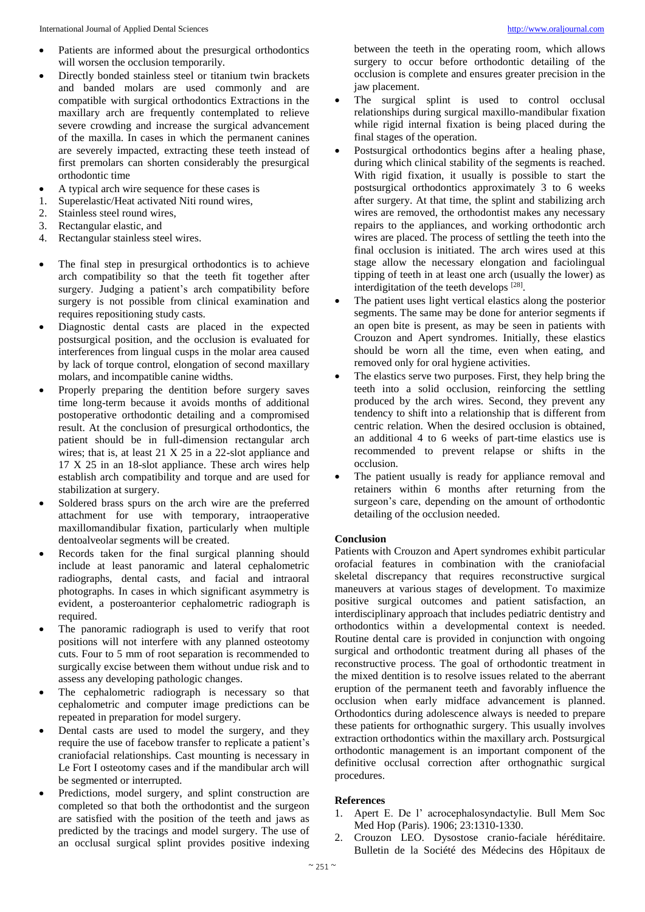- Patients are informed about the presurgical orthodontics will worsen the occlusion temporarily.
- Directly bonded stainless steel or titanium twin brackets and banded molars are used commonly and are compatible with surgical orthodontics Extractions in the maxillary arch are frequently contemplated to relieve severe crowding and increase the surgical advancement of the maxilla. In cases in which the permanent canines are severely impacted, extracting these teeth instead of first premolars can shorten considerably the presurgical orthodontic time
- A typical arch wire sequence for these cases is
- 1. Superelastic/Heat activated Niti round wires,
- 2. Stainless steel round wires,
- 3. Rectangular elastic, and
- 4. Rectangular stainless steel wires.
- The final step in presurgical orthodontics is to achieve arch compatibility so that the teeth fit together after surgery. Judging a patient's arch compatibility before surgery is not possible from clinical examination and requires repositioning study casts.
- Diagnostic dental casts are placed in the expected postsurgical position, and the occlusion is evaluated for interferences from lingual cusps in the molar area caused by lack of torque control, elongation of second maxillary molars, and incompatible canine widths.
- Properly preparing the dentition before surgery saves time long-term because it avoids months of additional postoperative orthodontic detailing and a compromised result. At the conclusion of presurgical orthodontics, the patient should be in full-dimension rectangular arch wires; that is, at least 21 X 25 in a 22-slot appliance and 17 X 25 in an 18-slot appliance. These arch wires help establish arch compatibility and torque and are used for stabilization at surgery.
- Soldered brass spurs on the arch wire are the preferred attachment for use with temporary, intraoperative maxillomandibular fixation, particularly when multiple dentoalveolar segments will be created.
- Records taken for the final surgical planning should include at least panoramic and lateral cephalometric radiographs, dental casts, and facial and intraoral photographs. In cases in which significant asymmetry is evident, a posteroanterior cephalometric radiograph is required.
- The panoramic radiograph is used to verify that root positions will not interfere with any planned osteotomy cuts. Four to 5 mm of root separation is recommended to surgically excise between them without undue risk and to assess any developing pathologic changes.
- The cephalometric radiograph is necessary so that cephalometric and computer image predictions can be repeated in preparation for model surgery.
- Dental casts are used to model the surgery, and they require the use of facebow transfer to replicate a patient's craniofacial relationships. Cast mounting is necessary in Le Fort I osteotomy cases and if the mandibular arch will be segmented or interrupted.
- Predictions, model surgery, and splint construction are completed so that both the orthodontist and the surgeon are satisfied with the position of the teeth and jaws as predicted by the tracings and model surgery. The use of an occlusal surgical splint provides positive indexing

between the teeth in the operating room, which allows surgery to occur before orthodontic detailing of the occlusion is complete and ensures greater precision in the jaw placement.

- The surgical splint is used to control occlusal relationships during surgical maxillo-mandibular fixation while rigid internal fixation is being placed during the final stages of the operation.
- Postsurgical orthodontics begins after a healing phase, during which clinical stability of the segments is reached. With rigid fixation, it usually is possible to start the postsurgical orthodontics approximately 3 to 6 weeks after surgery. At that time, the splint and stabilizing arch wires are removed, the orthodontist makes any necessary repairs to the appliances, and working orthodontic arch wires are placed. The process of settling the teeth into the final occlusion is initiated. The arch wires used at this stage allow the necessary elongation and faciolingual tipping of teeth in at least one arch (usually the lower) as interdigitation of the teeth develops [28].
- The patient uses light vertical elastics along the posterior segments. The same may be done for anterior segments if an open bite is present, as may be seen in patients with Crouzon and Apert syndromes. Initially, these elastics should be worn all the time, even when eating, and removed only for oral hygiene activities.
- The elastics serve two purposes. First, they help bring the teeth into a solid occlusion, reinforcing the settling produced by the arch wires. Second, they prevent any tendency to shift into a relationship that is different from centric relation. When the desired occlusion is obtained, an additional 4 to 6 weeks of part-time elastics use is recommended to prevent relapse or shifts in the occlusion.
- The patient usually is ready for appliance removal and retainers within 6 months after returning from the surgeon's care, depending on the amount of orthodontic detailing of the occlusion needed.

## **Conclusion**

Patients with Crouzon and Apert syndromes exhibit particular orofacial features in combination with the craniofacial skeletal discrepancy that requires reconstructive surgical maneuvers at various stages of development. To maximize positive surgical outcomes and patient satisfaction, an interdisciplinary approach that includes pediatric dentistry and orthodontics within a developmental context is needed. Routine dental care is provided in conjunction with ongoing surgical and orthodontic treatment during all phases of the reconstructive process. The goal of orthodontic treatment in the mixed dentition is to resolve issues related to the aberrant eruption of the permanent teeth and favorably influence the occlusion when early midface advancement is planned. Orthodontics during adolescence always is needed to prepare these patients for orthognathic surgery. This usually involves extraction orthodontics within the maxillary arch. Postsurgical orthodontic management is an important component of the definitive occlusal correction after orthognathic surgical procedures.

#### **References**

- 1. Apert E. De l' acrocephalosyndactylie. Bull Mem Soc Med Hop (Paris). 1906; 23:1310-1330.
- 2. Crouzon LEO. Dysostose cranio-faciale héréditaire. Bulletin de la Société des Médecins des Hôpitaux de